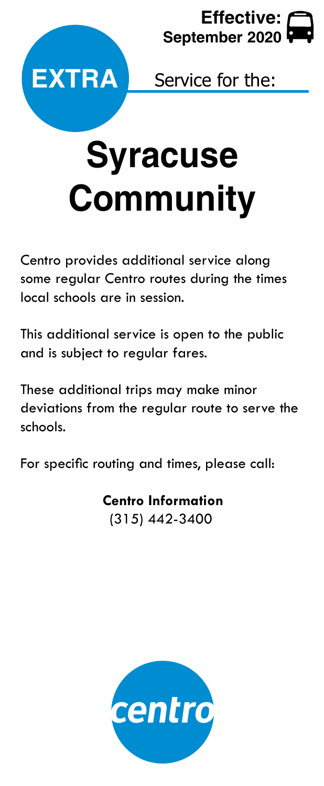



Service for the:

## **Syracuse Community**

Centro provides additional service along some regular Centro routes during the times local schools are in session.

This additional service is open to the public and is subject to regular fares.

These additional trips may make minor deviations from the regular route to serve the schools.

For specific routing and times, please call:

 **Centro Information** (315) 442-3400